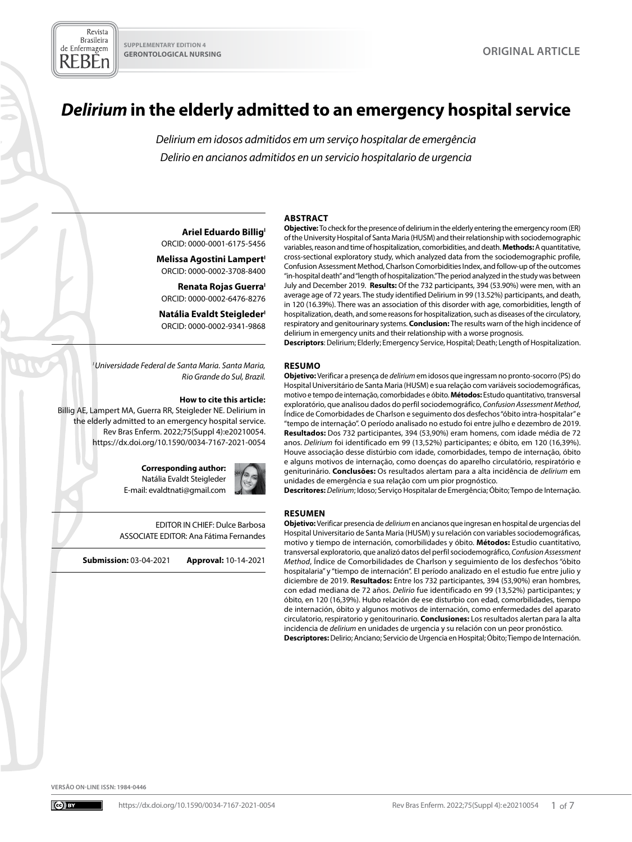# *Delirium* **in the elderly admitted to an emergency hospital service**

*Delirium em idosos admitidos em um serviço hospitalar de emergência Delirio en ancianos admitidos en un servicio hospitalario de urgencia*

#### **ABSTRACT**

**Ariel Eduardo Billig**<sup>1</sup> ORCID: 0000-0001-6175-5456

**Melissa Agostini Lampert'** ORCID: 0000-0002-3708-8400

**Renata Rojas Guerra** ORCID: 0000-0002-6476-8276

**Natália Evaldt Steigleder** ORCID: 0000-0002-9341-9868

*I Universidade Federal de Santa Maria. Santa Maria, Rio Grande do Sul, Brazil.*

#### **How to cite this article:**

Billig AE, Lampert MA, Guerra RR, Steigleder NE. Delirium in the elderly admitted to an emergency hospital service. Rev Bras Enferm. 2022;75(Suppl 4):e20210054. <https://dx.doi.org/10.1590/0034-7167-2021-0054>

> **Corresponding author:**  Natália Evaldt Steigleder E-mail: evaldtnati@gmail.com



EDITOR IN CHIEF: Dulce Barbosa ASSOCIATE EDITOR: Ana Fátima Fernandes

**Submission:** 03-04-2021 **Approval:** 10-14-2021

**Objective:** To check for the presence of delirium in the elderly entering the emergency room (ER) of the University Hospital of Santa Maria (HUSM) and their relationship with sociodemographic variables, reason and time of hospitalization, comorbidities, and death. **Methods:** A quantitative,

cross-sectional exploratory study, which analyzed data from the sociodemographic profile, Confusion Assessment Method, Charlson Comorbidities Index, and follow-up of the outcomes "in-hospital death" and "length of hospitalization." The period analyzed in the study was between July and December 2019. **Results:** Of the 732 participants, 394 (53.90%) were men, with an average age of 72 years. The study identified Delirium in 99 (13.52%) participants, and death, in 120 (16.39%). There was an association of this disorder with age, comorbidities, length of hospitalization, death, and some reasons for hospitalization, such as diseases of the circulatory, respiratory and genitourinary systems. **Conclusion:** The results warn of the high incidence of delirium in emergency units and their relationship with a worse prognosis.

**Descriptors**: Delirium; Elderly; Emergency Service, Hospital; Death; Length of Hospitalization.

#### **RESUMO**

**Objetivo:** Verificar a presença de *delirium* em idosos que ingressam no pronto-socorro (PS) do Hospital Universitário de Santa Maria (HUSM) e sua relação com variáveis sociodemográficas, motivo e tempo de internação, comorbidades e óbito. **Métodos:** Estudo quantitativo, transversal exploratório, que analisou dados do perfil sociodemográfico, *Confusion Assessment Method*, Índice de Comorbidades de Charlson e seguimento dos desfechos "óbito intra-hospitalar" e "tempo de internação". O período analisado no estudo foi entre julho e dezembro de 2019. **Resultados:** Dos 732 participantes, 394 (53,90%) eram homens, com idade média de 72 anos. *Delirium* foi identificado em 99 (13,52%) participantes; e óbito, em 120 (16,39%). Houve associação desse distúrbio com idade, comorbidades, tempo de internação, óbito e alguns motivos de internação, como doenças do aparelho circulatório, respiratório e geniturinário. **Conclusões:** Os resultados alertam para a alta incidência de *delirium* em unidades de emergência e sua relação com um pior prognóstico.

**Descritores:** *Delirium*; Idoso; Serviço Hospitalar de Emergência; Óbito; Tempo de Internação.

#### **RESUMEN**

**Objetivo:** Verificar presencia de *delirium* en ancianos que ingresan en hospital de urgencias del Hospital Universitario de Santa Maria (HUSM) y su relación con variables sociodemográficas, motivo y tiempo de internación, comorbilidades y óbito. **Métodos:** Estudio cuantitativo, transversal exploratorio, que analizó datos del perfil sociodemográfico, *Confusion Assessment Method*, Índice de Comorbilidades de Charlson y seguimiento de los desfechos "óbito hospitalaria" y "tiempo de internación". El período analizado en el estudio fue entre julio y diciembre de 2019. **Resultados:** Entre los 732 participantes, 394 (53,90%) eran hombres, con edad mediana de 72 años. *Delirio* fue identificado en 99 (13,52%) participantes; y óbito, en 120 (16,39%). Hubo relación de ese disturbio con edad, comorbilidades, tiempo de internación, óbito y algunos motivos de internación, como enfermedades del aparato circulatorio, respiratorio y genitourinario. **Conclusiones:** Los resultados alertan para la alta incidencia de *delirium* en unidades de urgencia y su relación con un peor pronóstico. **Descriptores:** Delirio; Anciano; Servicio de Urgencia en Hospital; Óbito; Tiempo de Internación.

**VERSÃO ON-LINE ISSN: 1984-0446**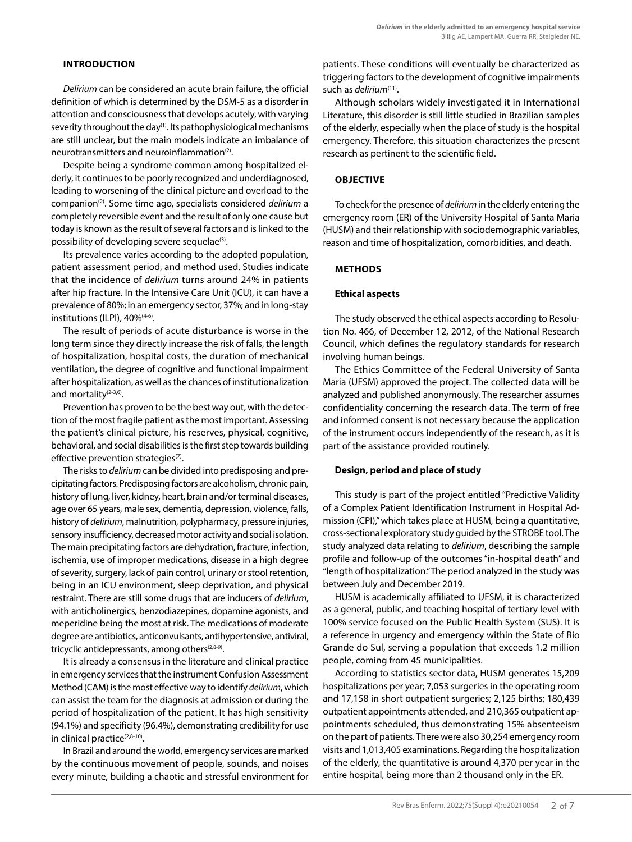# **INTRODUCTION**

*Delirium* can be considered an acute brain failure, the official definition of which is determined by the DSM-5 as a disorder in attention and consciousness that develops acutely, with varying severity throughout the day<sup>(1)</sup>. Its pathophysiological mechanisms are still unclear, but the main models indicate an imbalance of neurotransmitters and neuroinflammation<sup>(2)</sup>.

Despite being a syndrome common among hospitalized elderly, it continues to be poorly recognized and underdiagnosed, leading to worsening of the clinical picture and overload to the companion(2). Some time ago, specialists considered *delirium* a completely reversible event and the result of only one cause but today is known as the result of several factors and is linked to the possibility of developing severe sequelae<sup>(3)</sup>.

Its prevalence varies according to the adopted population, patient assessment period, and method used. Studies indicate that the incidence of *delirium* turns around 24% in patients after hip fracture. In the Intensive Care Unit (ICU), it can have a prevalence of 80%; in an emergency sector, 37%; and in long-stay institutions (ILPI), 40%<sup>(4-6)</sup>.

The result of periods of acute disturbance is worse in the long term since they directly increase the risk of falls, the length of hospitalization, hospital costs, the duration of mechanical ventilation, the degree of cognitive and functional impairment after hospitalization, as well as the chances of institutionalization and mortality<sup>(2-3,6)</sup>.

Prevention has proven to be the best way out, with the detection of the most fragile patient as the most important. Assessing the patient's clinical picture, his reserves, physical, cognitive, behavioral, and social disabilities is the first step towards building effective prevention strategies<sup>(7)</sup>.

The risks to *delirium* can be divided into predisposing and precipitating factors. Predisposing factors are alcoholism, chronic pain, history of lung, liver, kidney, heart, brain and/or terminal diseases, age over 65 years, male sex, dementia, depression, violence, falls, history of *delirium*, malnutrition, polypharmacy, pressure injuries, sensory insufficiency, decreased motor activity and social isolation. The main precipitating factors are dehydration, fracture, infection, ischemia, use of improper medications, disease in a high degree of severity, surgery, lack of pain control, urinary or stool retention, being in an ICU environment, sleep deprivation, and physical restraint. There are still some drugs that are inducers of *delirium*, with anticholinergics, benzodiazepines, dopamine agonists, and meperidine being the most at risk. The medications of moderate degree are antibiotics, anticonvulsants, antihypertensive, antiviral, tricyclic antidepressants, among others<sup>(2,8-9)</sup>.

It is already a consensus in the literature and clinical practice in emergency services that the instrument Confusion Assessment Method (CAM) is the most effective way to identify *delirium*, which can assist the team for the diagnosis at admission or during the period of hospitalization of the patient. It has high sensitivity (94.1%) and specificity (96.4%), demonstrating credibility for use in clinical practice<sup>(2,8-10)</sup>.

In Brazil and around the world, emergency services are marked by the continuous movement of people, sounds, and noises every minute, building a chaotic and stressful environment for patients. These conditions will eventually be characterized as triggering factors to the development of cognitive impairments such as *delirium*<sup>(11)</sup>.

Although scholars widely investigated it in International Literature, this disorder is still little studied in Brazilian samples of the elderly, especially when the place of study is the hospital emergency. Therefore, this situation characterizes the present research as pertinent to the scientific field.

# **OBJECTIVE**

To check for the presence of *delirium* in the elderly entering the emergency room (ER) of the University Hospital of Santa Maria (HUSM) and their relationship with sociodemographic variables, reason and time of hospitalization, comorbidities, and death.

# **METHODS**

## **Ethical aspects**

The study observed the ethical aspects according to Resolution No. 466, of December 12, 2012, of the National Research Council, which defines the regulatory standards for research involving human beings.

The Ethics Committee of the Federal University of Santa Maria (UFSM) approved the project. The collected data will be analyzed and published anonymously. The researcher assumes confidentiality concerning the research data. The term of free and informed consent is not necessary because the application of the instrument occurs independently of the research, as it is part of the assistance provided routinely.

# **Design, period and place of study**

This study is part of the project entitled "Predictive Validity of a Complex Patient Identification Instrument in Hospital Admission (CPI)," which takes place at HUSM, being a quantitative, cross-sectional exploratory study guided by the STROBE tool. The study analyzed data relating to *delirium*, describing the sample profile and follow-up of the outcomes "in-hospital death" and "length of hospitalization." The period analyzed in the study was between July and December 2019.

HUSM is academically affiliated to UFSM, it is characterized as a general, public, and teaching hospital of tertiary level with 100% service focused on the Public Health System (SUS). It is a reference in urgency and emergency within the State of Rio Grande do Sul, serving a population that exceeds 1.2 million people, coming from 45 municipalities.

According to statistics sector data, HUSM generates 15,209 hospitalizations per year; 7,053 surgeries in the operating room and 17,158 in short outpatient surgeries; 2,125 births; 180,439 outpatient appointments attended, and 210,365 outpatient appointments scheduled, thus demonstrating 15% absenteeism on the part of patients. There were also 30,254 emergency room visits and 1,013,405 examinations. Regarding the hospitalization of the elderly, the quantitative is around 4,370 per year in the entire hospital, being more than 2 thousand only in the ER.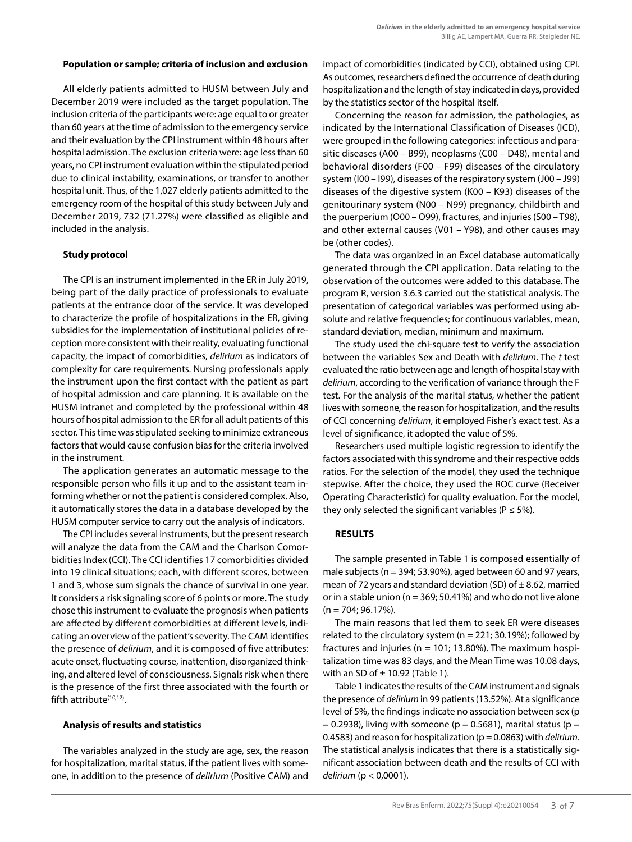## **Population or sample; criteria of inclusion and exclusion**

All elderly patients admitted to HUSM between July and December 2019 were included as the target population. The inclusion criteria of the participants were: age equal to or greater than 60 years at the time of admission to the emergency service and their evaluation by the CPI instrument within 48 hours after hospital admission. The exclusion criteria were: age less than 60 years, no CPI instrument evaluation within the stipulated period due to clinical instability, examinations, or transfer to another hospital unit. Thus, of the 1,027 elderly patients admitted to the emergency room of the hospital of this study between July and December 2019, 732 (71.27%) were classified as eligible and included in the analysis.

#### **Study protocol**

The CPI is an instrument implemented in the ER in July 2019, being part of the daily practice of professionals to evaluate patients at the entrance door of the service. It was developed to characterize the profile of hospitalizations in the ER, giving subsidies for the implementation of institutional policies of reception more consistent with their reality, evaluating functional capacity, the impact of comorbidities, *delirium* as indicators of complexity for care requirements. Nursing professionals apply the instrument upon the first contact with the patient as part of hospital admission and care planning. It is available on the HUSM intranet and completed by the professional within 48 hours of hospital admission to the ER for all adult patients of this sector. This time was stipulated seeking to minimize extraneous factors that would cause confusion bias for the criteria involved in the instrument.

The application generates an automatic message to the responsible person who fills it up and to the assistant team informing whether or not the patient is considered complex. Also, it automatically stores the data in a database developed by the HUSM computer service to carry out the analysis of indicators.

The CPI includes several instruments, but the present research will analyze the data from the CAM and the Charlson Comorbidities Index (CCI). The CCI identifies 17 comorbidities divided into 19 clinical situations; each, with different scores, between 1 and 3, whose sum signals the chance of survival in one year. It considers a risk signaling score of 6 points or more. The study chose this instrument to evaluate the prognosis when patients are affected by different comorbidities at different levels, indicating an overview of the patient's severity. The CAM identifies the presence of *delirium*, and it is composed of five attributes: acute onset, fluctuating course, inattention, disorganized thinking, and altered level of consciousness. Signals risk when there is the presence of the first three associated with the fourth or fifth attribute<sup>(10,12)</sup>.

## **Analysis of results and statistics**

The variables analyzed in the study are age, sex, the reason for hospitalization, marital status, if the patient lives with someone, in addition to the presence of *delirium* (Positive CAM) and impact of comorbidities (indicated by CCI), obtained using CPI. As outcomes, researchers defined the occurrence of death during hospitalization and the length of stay indicated in days, provided by the statistics sector of the hospital itself.

Concerning the reason for admission, the pathologies, as indicated by the International Classification of Diseases (ICD), were grouped in the following categories: infectious and parasitic diseases (A00 – B99), neoplasms (C00 – D48), mental and behavioral disorders (F00 – F99) diseases of the circulatory system (I00 – I99), diseases of the respiratory system (J00 – J99) diseases of the digestive system (K00 – K93) diseases of the genitourinary system (N00 – N99) pregnancy, childbirth and the puerperium (O00 – O99), fractures, and injuries (S00 – T98), and other external causes (V01 – Y98), and other causes may be (other codes).

The data was organized in an Excel database automatically generated through the CPI application. Data relating to the observation of the outcomes were added to this database. The program R, version 3.6.3 carried out the statistical analysis. The presentation of categorical variables was performed using absolute and relative frequencies; for continuous variables, mean, standard deviation, median, minimum and maximum.

The study used the chi-square test to verify the association between the variables Sex and Death with *delirium*. The *t* test evaluated the ratio between age and length of hospital stay with *delirium*, according to the verification of variance through the F test. For the analysis of the marital status, whether the patient lives with someone, the reason for hospitalization, and the results of CCI concerning *delirium*, it employed Fisher's exact test. As a level of significance, it adopted the value of 5%.

Researchers used multiple logistic regression to identify the factors associated with this syndrome and their respective odds ratios. For the selection of the model, they used the technique stepwise. After the choice, they used the ROC curve (Receiver Operating Characteristic) for quality evaluation. For the model, they only selected the significant variables ( $P \le 5\%$ ).

# **RESULTS**

The sample presented in Table 1 is composed essentially of male subjects ( $n = 394$ ; 53.90%), aged between 60 and 97 years, mean of 72 years and standard deviation (SD) of  $\pm$  8.62, married or in a stable union ( $n = 369$ ; 50.41%) and who do not live alone  $(n = 704; 96.17\%).$ 

The main reasons that led them to seek ER were diseases related to the circulatory system ( $n = 221$ ; 30.19%); followed by fractures and injuries ( $n = 101$ ; 13.80%). The maximum hospitalization time was 83 days, and the Mean Time was 10.08 days, with an SD of  $\pm$  10.92 (Table 1).

Table 1 indicates the results of the CAM instrument and signals the presence of *delirium* in 99 patients (13.52%). At a significance level of 5%, the findings indicate no association between sex (p  $= 0.2938$ ), living with someone (p = 0.5681), marital status (p = 0.4583) and reason for hospitalization (p = 0.0863) with *delirium*. The statistical analysis indicates that there is a statistically significant association between death and the results of CCI with *delirium* (p < 0,0001).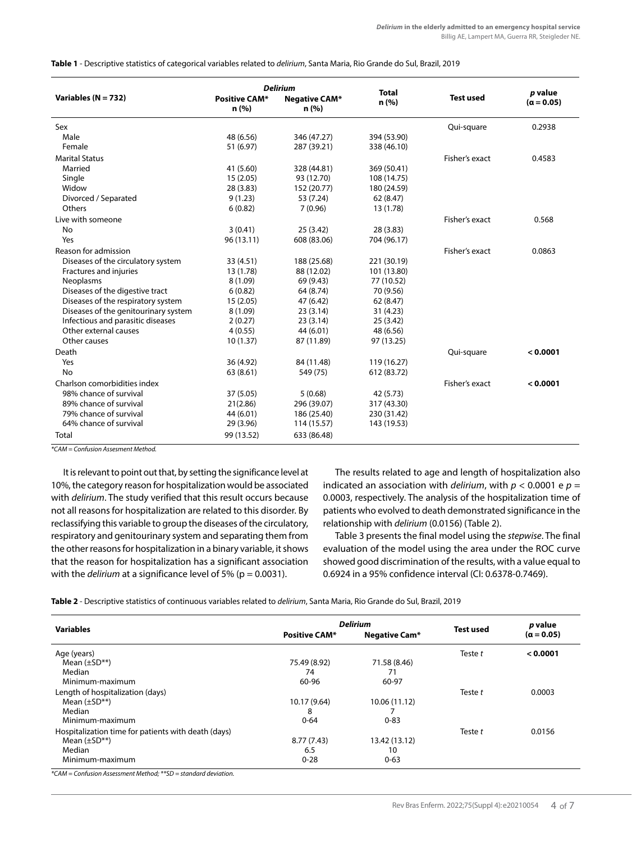#### **Table 1** - Descriptive statistics of categorical variables related to *delirium*, Santa Maria, Rio Grande do Sul, Brazil, 2019

| Variables ( $N = 732$ )              | <b>Positive CAM*</b><br>n (%) | <b>Delirium</b><br>Negative CAM*<br>n(%) | <b>Total</b><br>n(%) | <b>Test used</b> | p value<br>$(a = 0.05)$ |
|--------------------------------------|-------------------------------|------------------------------------------|----------------------|------------------|-------------------------|
| Sex                                  |                               |                                          |                      | Qui-square       | 0.2938                  |
| Male                                 | 48 (6.56)                     | 346 (47.27)                              | 394 (53.90)          |                  |                         |
| Female                               | 51 (6.97)                     | 287 (39.21)                              | 338 (46.10)          |                  |                         |
| <b>Marital Status</b>                |                               |                                          |                      | Fisher's exact   | 0.4583                  |
| Married                              | 41 (5.60)                     | 328 (44.81)                              | 369 (50.41)          |                  |                         |
| Single                               | 15(2.05)                      | 93 (12.70)                               | 108 (14.75)          |                  |                         |
| Widow                                | 28 (3.83)                     | 152 (20.77)                              | 180 (24.59)          |                  |                         |
| Divorced / Separated                 | 9(1.23)                       | 53 (7.24)                                | 62 (8.47)            |                  |                         |
| Others                               | 6(0.82)                       | 7(0.96)                                  | 13 (1.78)            |                  |                         |
| Live with someone                    |                               |                                          |                      | Fisher's exact   | 0.568                   |
| No                                   | 3(0.41)                       | 25(3.42)                                 | 28 (3.83)            |                  |                         |
| Yes                                  | 96 (13.11)                    | 608 (83.06)                              | 704 (96.17)          |                  |                         |
| Reason for admission                 |                               |                                          |                      | Fisher's exact   | 0.0863                  |
| Diseases of the circulatory system   | 33 (4.51)                     | 188 (25.68)                              | 221 (30.19)          |                  |                         |
| Fractures and injuries               | 13 (1.78)                     | 88 (12.02)                               | 101 (13.80)          |                  |                         |
| Neoplasms                            | 8(1.09)                       | 69 (9.43)                                | 77 (10.52)           |                  |                         |
| Diseases of the digestive tract      | 6(0.82)                       | 64 (8.74)                                | 70 (9.56)            |                  |                         |
| Diseases of the respiratory system   | 15(2.05)                      | 47 (6.42)                                | 62 (8.47)            |                  |                         |
| Diseases of the genitourinary system | 8(1.09)                       | 23(3.14)                                 | 31 (4.23)            |                  |                         |
| Infectious and parasitic diseases    | 2(0.27)                       | 23(3.14)                                 | 25 (3.42)            |                  |                         |
| Other external causes                | 4(0.55)                       | 44 (6.01)                                | 48 (6.56)            |                  |                         |
| Other causes                         | 10(1.37)                      | 87 (11.89)                               | 97 (13.25)           |                  |                         |
| Death                                |                               |                                          |                      | Qui-square       | < 0.0001                |
| Yes                                  | 36 (4.92)                     | 84 (11.48)                               | 119 (16.27)          |                  |                         |
| No                                   | 63 (8.61)                     | 549 (75)                                 | 612 (83.72)          |                  |                         |
| Charlson comorbidities index         |                               |                                          |                      | Fisher's exact   | < 0.0001                |
| 98% chance of survival               | 37 (5.05)                     | 5(0.68)                                  | 42 (5.73)            |                  |                         |
| 89% chance of survival               | 21(2.86)                      | 296 (39.07)                              | 317 (43.30)          |                  |                         |
| 79% chance of survival               | 44 (6.01)                     | 186 (25.40)                              | 230 (31.42)          |                  |                         |
| 64% chance of survival               | 29 (3.96)                     | 114 (15.57)                              | 143 (19.53)          |                  |                         |
| Total                                | 99 (13.52)                    | 633 (86.48)                              |                      |                  |                         |

*\*CAM = Confusion Assesment Method.*

It is relevant to point out that, by setting the significance level at 10%, the category reason for hospitalization would be associated with *delirium*. The study verified that this result occurs because not all reasons for hospitalization are related to this disorder. By reclassifying this variable to group the diseases of the circulatory, respiratory and genitourinary system and separating them from the other reasons for hospitalization in a binary variable, it shows that the reason for hospitalization has a significant association with the *delirium* at a significance level of 5% (p = 0.0031).

The results related to age and length of hospitalization also indicated an association with *delirium*, with  $p < 0.0001$  e  $p =$ 0.0003, respectively. The analysis of the hospitalization time of patients who evolved to death demonstrated significance in the relationship with *delirium* (0.0156) (Table 2).

Table 3 presents the final model using the *stepwise*. The final evaluation of the model using the area under the ROC curve showed good discrimination of the results, with a value equal to 0.6924 in a 95% confidence interval (CI: 0.6378-0.7469).

**Table 2** - Descriptive statistics of continuous variables related to *delirium*, Santa Maria, Rio Grande do Sul, Brazil, 2019

| <b>Variables</b>                                    | <b>Delirium</b>      |               | p value          |              |
|-----------------------------------------------------|----------------------|---------------|------------------|--------------|
|                                                     | <b>Positive CAM*</b> | Negative Cam* | <b>Test used</b> | $(a = 0.05)$ |
| Age (years)                                         |                      |               | Teste t          | < 0.0001     |
| Mean $(\pm SD^{**})$                                | 75.49 (8.92)         | 71.58 (8.46)  |                  |              |
| Median                                              | 74                   | 71            |                  |              |
| Minimum-maximum                                     | 60-96                | 60-97         |                  |              |
| Length of hospitalization (days)                    |                      |               | Teste t          | 0.0003       |
| Mean $(\pm SD^{**})$                                | 10.17 (9.64)         | 10.06 (11.12) |                  |              |
| Median                                              | 8                    |               |                  |              |
| Minimum-maximum                                     | $0 - 64$             | $0 - 83$      |                  |              |
| Hospitalization time for patients with death (days) |                      |               | Teste t          | 0.0156       |
| Mean $(\pm SD^{**})$                                | 8.77(7.43)           | 13.42 (13.12) |                  |              |
| Median                                              | 6.5                  | 10            |                  |              |
| Minimum-maximum                                     | $0 - 28$             | $0 - 63$      |                  |              |

*\*CAM = Confusion Assessment Method; \*\*SD = standard deviation.*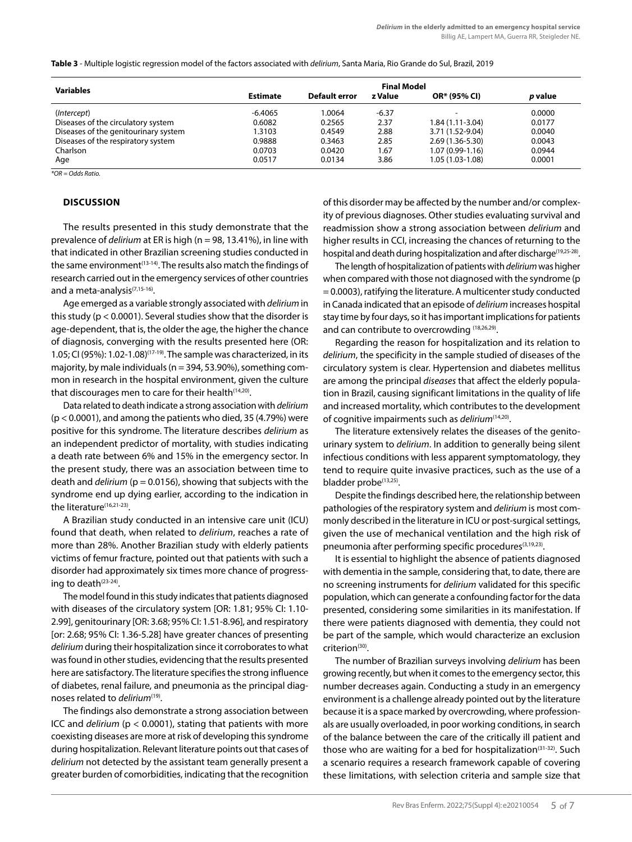**Table 3** - Multiple logistic regression model of the factors associated with *delirium*, Santa Maria, Rio Grande do Sul, Brazil, 2019

| <b>Variables</b>                     | <b>Final Model</b> |               |         |                     |         |  |  |
|--------------------------------------|--------------------|---------------|---------|---------------------|---------|--|--|
|                                      | <b>Estimate</b>    | Default error | z Value | OR* (95% CI)        | p value |  |  |
| (Intercept)                          | $-6.4065$          | 1.0064        | $-6.37$ | ۰                   | 0.0000  |  |  |
| Diseases of the circulatory system   | 0.6082             | 0.2565        | 2.37    | $1.84(1.11-3.04)$   | 0.0177  |  |  |
| Diseases of the genitourinary system | 1.3103             | 0.4549        | 2.88    | 3.71 (1.52-9.04)    | 0.0040  |  |  |
| Diseases of the respiratory system   | 0.9888             | 0.3463        | 2.85    | $2.69(1.36 - 5.30)$ | 0.0043  |  |  |
| Charlson                             | 0.0703             | 0.0420        | 67.۱    | $1.07(0.99-1.16)$   | 0.0944  |  |  |
| Age                                  | 0.0517             | 0.0134        | 3.86    | 1.05 (1.03-1.08)    | 0.0001  |  |  |

*\*OR = Odds Ratio.*

## **DISCUSSION**

The results presented in this study demonstrate that the prevalence of *delirium* at ER is high (n = 98, 13.41%), in line with that indicated in other Brazilian screening studies conducted in the same environment<sup>(13-14)</sup>. The results also match the findings of research carried out in the emergency services of other countries and a meta-analysis<sup>(7,15-16)</sup>.

Age emerged as a variable strongly associated with *delirium* in this study ( $p < 0.0001$ ). Several studies show that the disorder is age-dependent, that is, the older the age, the higher the chance of diagnosis, converging with the results presented here (OR: 1.05; CI (95%): 1.02-1.08)<sup>(17-19)</sup>. The sample was characterized, in its majority, by male individuals (n = 394, 53.90%), something common in research in the hospital environment, given the culture that discourages men to care for their health $(14,20)$ .

Data related to death indicate a strong association with *delirium*  $(p < 0.0001)$ , and among the patients who died, 35  $(4.79%)$  were positive for this syndrome. The literature describes *delirium* as an independent predictor of mortality, with studies indicating a death rate between 6% and 15% in the emergency sector. In the present study, there was an association between time to death and *delirium* (p = 0.0156), showing that subjects with the syndrome end up dying earlier, according to the indication in the literature<sup>(16,21-23)</sup>.

A Brazilian study conducted in an intensive care unit (ICU) found that death, when related to *delirium*, reaches a rate of more than 28%. Another Brazilian study with elderly patients victims of femur fracture, pointed out that patients with such a disorder had approximately six times more chance of progressing to death $(23-24)$ .

The model found in this study indicates that patients diagnosed with diseases of the circulatory system [OR: 1.81; 95% CI: 1.10- 2.99], genitourinary [OR: 3.68; 95% CI: 1.51-8.96], and respiratory [or: 2.68; 95% CI: 1.36-5.28] have greater chances of presenting *delirium* during their hospitalization since it corroborates to what was found in other studies, evidencing that the results presented here are satisfactory. The literature specifies the strong influence of diabetes, renal failure, and pneumonia as the principal diagnoses related to *delirium*(19).

The findings also demonstrate a strong association between ICC and *delirium* (p < 0.0001), stating that patients with more coexisting diseases are more at risk of developing this syndrome during hospitalization. Relevant literature points out that cases of *delirium* not detected by the assistant team generally present a greater burden of comorbidities, indicating that the recognition of this disorder may be affected by the number and/or complexity of previous diagnoses. Other studies evaluating survival and readmission show a strong association between *delirium* and higher results in CCI, increasing the chances of returning to the hospital and death during hospitalization and after discharge<sup>(19,25-28)</sup>.

The length of hospitalization of patients with *delirium* was higher when compared with those not diagnosed with the syndrome (p = 0.0003), ratifying the literature. A multicenter study conducted in Canada indicated that an episode of *delirium* increases hospital stay time by four days, so it has important implications for patients and can contribute to overcrowding (18,26,29).

Regarding the reason for hospitalization and its relation to *delirium*, the specificity in the sample studied of diseases of the circulatory system is clear. Hypertension and diabetes mellitus are among the principal *diseases* that affect the elderly population in Brazil, causing significant limitations in the quality of life and increased mortality, which contributes to the development of cognitive impairments such as *delirium*(14,20).

The literature extensively relates the diseases of the genitourinary system to *delirium*. In addition to generally being silent infectious conditions with less apparent symptomatology, they tend to require quite invasive practices, such as the use of a bladder probe<sup>(13,25)</sup>.

Despite the findings described here, the relationship between pathologies of the respiratory system and *delirium* is most commonly described in the literature in ICU or post-surgical settings, given the use of mechanical ventilation and the high risk of pneumonia after performing specific procedures(3,19,23).

It is essential to highlight the absence of patients diagnosed with dementia in the sample, considering that, to date, there are no screening instruments for *delirium* validated for this specific population, which can generate a confounding factor for the data presented, considering some similarities in its manifestation. If there were patients diagnosed with dementia, they could not be part of the sample, which would characterize an exclusion  $criterion<sup>(30)</sup>$ .

The number of Brazilian surveys involving *delirium* has been growing recently, but when it comes to the emergency sector, this number decreases again. Conducting a study in an emergency environment is a challenge already pointed out by the literature because it is a space marked by overcrowding, where professionals are usually overloaded, in poor working conditions, in search of the balance between the care of the critically ill patient and those who are waiting for a bed for hospitalization<sup>(31-32)</sup>. Such a scenario requires a research framework capable of covering these limitations, with selection criteria and sample size that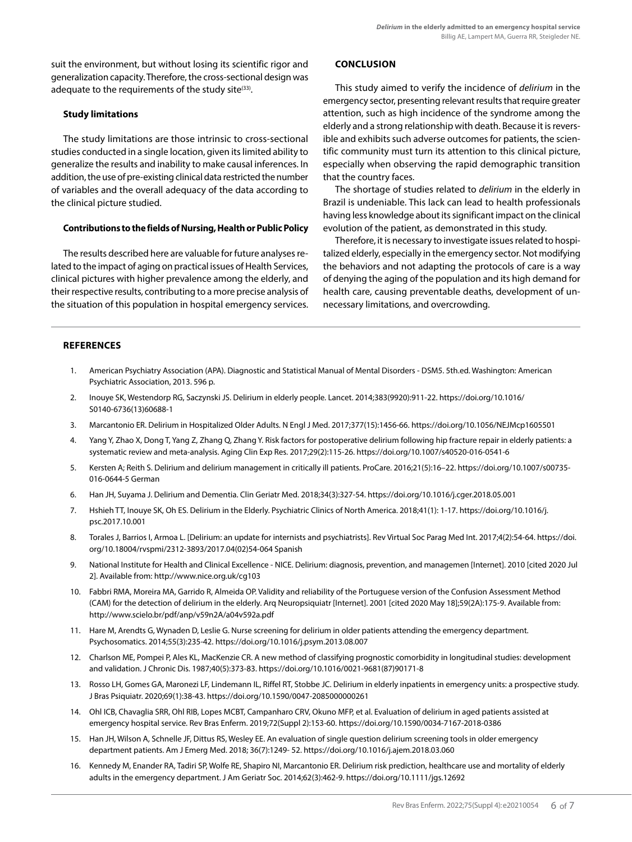suit the environment, but without losing its scientific rigor and generalization capacity. Therefore, the cross-sectional design was adequate to the requirements of the study site $(33)$ .

# **Study limitations**

The study limitations are those intrinsic to cross-sectional studies conducted in a single location, given its limited ability to generalize the results and inability to make causal inferences. In addition, the use of pre-existing clinical data restricted the number of variables and the overall adequacy of the data according to the clinical picture studied.

## **Contributions to the fields of Nursing, Health or Public Policy**

The results described here are valuable for future analyses related to the impact of aging on practical issues of Health Services, clinical pictures with higher prevalence among the elderly, and their respective results, contributing to a more precise analysis of the situation of this population in hospital emergency services.

# **CONCLUSION**

This study aimed to verify the incidence of *delirium* in the emergency sector, presenting relevant results that require greater attention, such as high incidence of the syndrome among the elderly and a strong relationship with death. Because it is reversible and exhibits such adverse outcomes for patients, the scientific community must turn its attention to this clinical picture, especially when observing the rapid demographic transition that the country faces.

The shortage of studies related to *delirium* in the elderly in Brazil is undeniable. This lack can lead to health professionals having less knowledge about its significant impact on the clinical evolution of the patient, as demonstrated in this study.

Therefore, it is necessary to investigate issues related to hospitalized elderly, especially in the emergency sector. Not modifying the behaviors and not adapting the protocols of care is a way of denying the aging of the population and its high demand for health care, causing preventable deaths, development of unnecessary limitations, and overcrowding.

# **REFERENCES**

- 1. American Psychiatry Association (APA). Diagnostic and Statistical Manual of Mental Disorders DSM5. 5th.ed. Washington: American Psychiatric Association, 2013. 596 p.
- 2. Inouye SK, Westendorp RG, Saczynski JS. Delirium in elderly people. Lancet. 2014;383(9920):911-22. https://doi.org/10.1016/ S0140-6736(13)60688-1
- 3. Marcantonio ER. Delirium in Hospitalized Older Adults. N Engl J Med. 2017;377(15):1456-66. https://doi.org/10.1056/NEJMcp1605501
- 4. Yang Y, Zhao X, Dong T, Yang Z, Zhang Q, Zhang Y. Risk factors for postoperative delirium following hip fracture repair in elderly patients: a systematic review and meta-analysis. Aging Clin Exp Res. 2017;29(2):115-26. https://doi.org/10.1007/s40520-016-0541-6
- 5. Kersten A; Reith S. Delirium and delirium management in critically ill patients. ProCare. 2016;21(5):16–22. https://doi.org/10.1007/s00735- 016-0644-5 German
- 6. Han JH, Suyama J. Delirium and Dementia. Clin Geriatr Med. 2018;34(3):327-54. https://doi.org/10.1016/j.cger.2018.05.001
- 7. Hshieh TT, Inouye SK, Oh ES. Delirium in the Elderly. Psychiatric Clinics of North America. 2018;41(1): 1-17. https://doi.org/10.1016/j. psc.2017.10.001
- 8. Torales J, Barrios I, Armoa L. [Delirium: an update for internists and psychiatrists]. Rev Virtual Soc Parag Med Int. 2017;4(2):54-64. https://doi. org/10.18004/rvspmi/2312-3893/2017.04(02)54-064 Spanish
- 9. National Institute for Health and Clinical Excellence NICE. Delirium: diagnosis, prevention, and managemen [Internet]. 2010 [cited 2020 Jul 2]. Available from: http://www.nice.org.uk/cg103
- 10. Fabbri RMA, Moreira MA, Garrido R, Almeida OP. Validity and reliability of the Portuguese version of the Confusion Assessment Method (CAM) for the detection of delirium in the elderly. Arq Neuropsiquiatr [Internet]. 2001 [cited 2020 May 18];59(2A):175-9. Available from: http://www.scielo.br/pdf/anp/v59n2A/a04v592a.pdf
- 11. Hare M, Arendts G, Wynaden D, Leslie G. Nurse screening for delirium in older patients attending the emergency department. Psychosomatics. 2014;55(3):235-42. https://doi.org/10.1016/j.psym.2013.08.007
- 12. Charlson ME, Pompei P, Ales KL, MacKenzie CR. A new method of classifying prognostic comorbidity in longitudinal studies: development and validation. J Chronic Dis. 1987;40(5):373-83. https://doi.org/10.1016/0021-9681(87)90171-8
- 13. Rosso LH, Gomes GA, Maronezi LF, Lindemann IL, Riffel RT, Stobbe JC. Delirium in elderly inpatients in emergency units: a prospective study. J Bras Psiquiatr. 2020;69(1):38-43. https://doi.org/10.1590/0047-2085000000261
- 14. Ohl ICB, Chavaglia SRR, Ohl RIB, Lopes MCBT, Campanharo CRV, Okuno MFP, et al. Evaluation of delirium in aged patients assisted at emergency hospital service. Rev Bras Enferm. 2019;72(Suppl 2):153-60. https://doi.org/10.1590/0034-7167-2018-0386
- 15. Han JH, Wilson A, Schnelle JF, Dittus RS, Wesley EE. An evaluation of single question delirium screening tools in older emergency department patients. Am J Emerg Med. 2018; 36(7):1249‐ 52. https://doi.org/10.1016/j.ajem.2018.03.060
- 16. Kennedy M, Enander RA, Tadiri SP, Wolfe RE, Shapiro NI, Marcantonio ER. Delirium risk prediction, healthcare use and mortality of elderly adults in the emergency department. J Am Geriatr Soc. 2014;62(3):462-9. https://doi.org/10.1111/jgs.12692